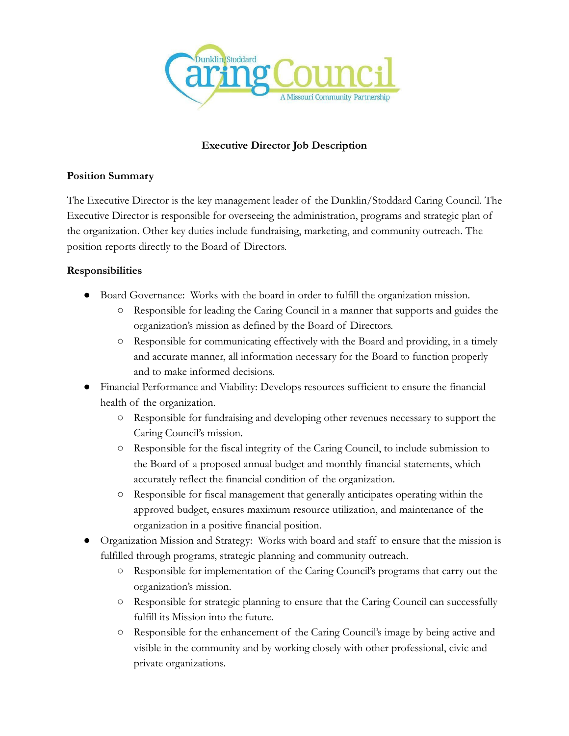

# **Executive Director Job Description**

#### **Position Summary**

The Executive Director is the key management leader of the Dunklin/Stoddard Caring Council. The Executive Director is responsible for overseeing the administration, programs and strategic plan of the organization. Other key duties include fundraising, marketing, and community outreach. The position reports directly to the Board of Directors.

### **Responsibilities**

- Board Governance: Works with the board in order to fulfill the organization mission.
	- Responsible for leading the Caring Council in a manner that supports and guides the organization's mission as defined by the Board of Directors.
	- Responsible for communicating effectively with the Board and providing, in a timely and accurate manner, all information necessary for the Board to function properly and to make informed decisions.
- Financial Performance and Viability: Develops resources sufficient to ensure the financial health of the organization.
	- Responsible for fundraising and developing other revenues necessary to support the Caring Council's mission.
	- Responsible for the fiscal integrity of the Caring Council, to include submission to the Board of a proposed annual budget and monthly financial statements, which accurately reflect the financial condition of the organization.
	- Responsible for fiscal management that generally anticipates operating within the approved budget, ensures maximum resource utilization, and maintenance of the organization in a positive financial position.
- Organization Mission and Strategy: Works with board and staff to ensure that the mission is fulfilled through programs, strategic planning and community outreach.
	- Responsible for implementation of the Caring Council's programs that carry out the organization's mission.
	- Responsible for strategic planning to ensure that the Caring Council can successfully fulfill its Mission into the future.
	- Responsible for the enhancement of the Caring Council's image by being active and visible in the community and by working closely with other professional, civic and private organizations.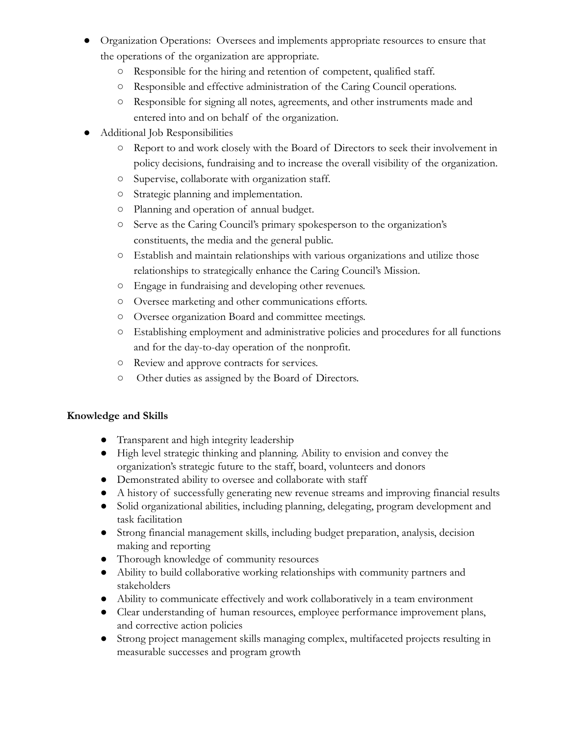- Organization Operations: Oversees and implements appropriate resources to ensure that the operations of the organization are appropriate.
	- Responsible for the hiring and retention of competent, qualified staff.
	- Responsible and effective administration of the Caring Council operations.
	- Responsible for signing all notes, agreements, and other instruments made and entered into and on behalf of the organization.
- Additional Job Responsibilities
	- Report to and work closely with the Board of Directors to seek their involvement in policy decisions, fundraising and to increase the overall visibility of the organization.
	- Supervise, collaborate with organization staff.
	- Strategic planning and implementation.
	- Planning and operation of annual budget.
	- Serve as the Caring Council's primary spokesperson to the organization's constituents, the media and the general public.
	- Establish and maintain relationships with various organizations and utilize those relationships to strategically enhance the Caring Council's Mission.
	- Engage in fundraising and developing other revenues.
	- Oversee marketing and other communications efforts.
	- Oversee organization Board and committee meetings.
	- Establishing employment and administrative policies and procedures for all functions and for the day-to-day operation of the nonprofit.
	- Review and approve contracts for services.
	- Other duties as assigned by the Board of Directors.

## **Knowledge and Skills**

- Transparent and high integrity leadership
- High level strategic thinking and planning. Ability to envision and convey the organization's strategic future to the staff, board, volunteers and donors
- Demonstrated ability to oversee and collaborate with staff
- A history of successfully generating new revenue streams and improving financial results
- Solid organizational abilities, including planning, delegating, program development and task facilitation
- Strong financial management skills, including budget preparation, analysis, decision making and reporting
- Thorough knowledge of community resources
- Ability to build collaborative working relationships with community partners and stakeholders
- Ability to communicate effectively and work collaboratively in a team environment
- Clear understanding of human resources, employee performance improvement plans, and corrective action policies
- Strong project management skills managing complex, multifaceted projects resulting in measurable successes and program growth